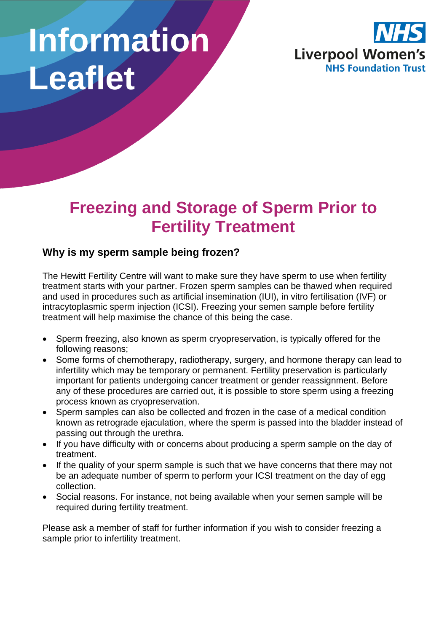# **Information Leaflet**



# **Freezing and Storage of Sperm Prior to Fertility Treatment**

# **Why is my sperm sample being frozen?**

The Hewitt Fertility Centre will want to make sure they have sperm to use when fertility treatment starts with your partner. Frozen sperm samples can be thawed when required and used in procedures such as artificial insemination (IUI), in vitro fertilisation (IVF) or intracytoplasmic sperm injection (ICSI). Freezing your semen sample before fertility treatment will help maximise the chance of this being the case.

- Sperm freezing, also known as sperm cryopreservation, is typically offered for the following reasons;
- Some forms of chemotherapy, radiotherapy, surgery, and hormone therapy can lead to infertility which may be temporary or permanent. Fertility preservation is particularly important for patients undergoing cancer treatment or gender reassignment. Before any of these procedures are carried out, it is possible to store sperm using a freezing process known as cryopreservation.
- Sperm samples can also be collected and frozen in the case of a medical condition known as retrograde ejaculation, where the sperm is passed into the bladder instead of passing out through the urethra.
- If you have difficulty with or concerns about producing a sperm sample on the day of treatment.
- If the quality of your sperm sample is such that we have concerns that there may not be an adequate number of sperm to perform your ICSI treatment on the day of egg collection.
- Social reasons. For instance, not being available when your semen sample will be required during fertility treatment.

Please ask a member of staff for further information if you wish to consider freezing a sample prior to infertility treatment.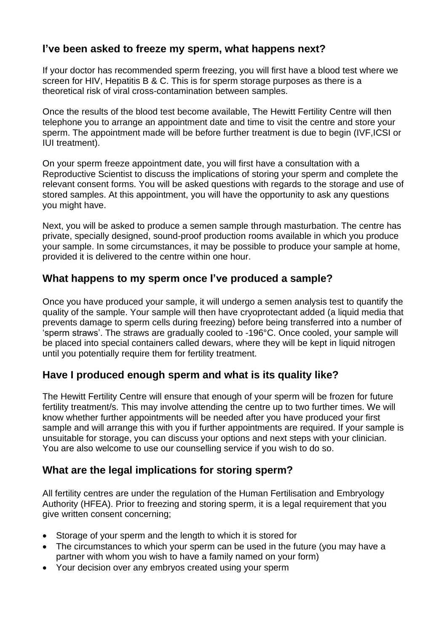# **I've been asked to freeze my sperm, what happens next?**

If your doctor has recommended sperm freezing, you will first have a blood test where we screen for HIV, Hepatitis B & C. This is for sperm storage purposes as there is a theoretical risk of viral cross-contamination between samples.

Once the results of the blood test become available, The Hewitt Fertility Centre will then telephone you to arrange an appointment date and time to visit the centre and store your sperm. The appointment made will be before further treatment is due to begin (IVF,ICSI or IUI treatment).

On your sperm freeze appointment date, you will first have a consultation with a Reproductive Scientist to discuss the implications of storing your sperm and complete the relevant consent forms. You will be asked questions with regards to the storage and use of stored samples. At this appointment, you will have the opportunity to ask any questions you might have.

Next, you will be asked to produce a semen sample through masturbation. The centre has private, specially designed, sound-proof production rooms available in which you produce your sample. In some circumstances, it may be possible to produce your sample at home, provided it is delivered to the centre within one hour.

#### **What happens to my sperm once I've produced a sample?**

Once you have produced your sample, it will undergo a semen analysis test to quantify the quality of the sample. Your sample will then have cryoprotectant added (a liquid media that prevents damage to sperm cells during freezing) before being transferred into a number of 'sperm straws'. The straws are gradually cooled to -196°C. Once cooled, your sample will be placed into special containers called dewars, where they will be kept in liquid nitrogen until you potentially require them for fertility treatment.

# **Have I produced enough sperm and what is its quality like?**

The Hewitt Fertility Centre will ensure that enough of your sperm will be frozen for future fertility treatment/s. This may involve attending the centre up to two further times. We will know whether further appointments will be needed after you have produced your first sample and will arrange this with you if further appointments are required. If your sample is unsuitable for storage, you can discuss your options and next steps with your clinician. You are also welcome to use our counselling service if you wish to do so.

# **What are the legal implications for storing sperm?**

All fertility centres are under the regulation of the Human Fertilisation and Embryology Authority (HFEA). Prior to freezing and storing sperm, it is a legal requirement that you give written consent concerning;

- Storage of your sperm and the length to which it is stored for
- The circumstances to which your sperm can be used in the future (you may have a partner with whom you wish to have a family named on your form)
- Your decision over any embryos created using your sperm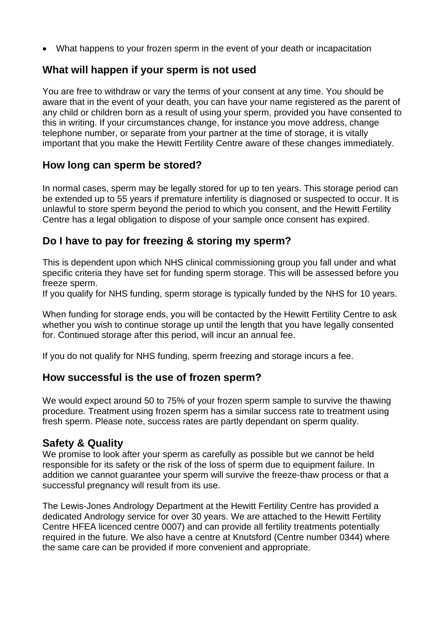• What happens to your frozen sperm in the event of your death or incapacitation

#### **What will happen if your sperm is not used**

You are free to withdraw or vary the terms of your consent at any time. You should be aware that in the event of your death, you can have your name registered as the parent of any child or children born as a result of using your sperm, provided you have consented to this in writing. If your circumstances change, for instance you move address, change telephone number, or separate from your partner at the time of storage, it is vitally important that you make the Hewitt Fertility Centre aware of these changes immediately.

#### **How long can sperm be stored?**

In normal cases, sperm may be legally stored for up to ten years. This storage period can be extended up to 55 years if premature infertility is diagnosed or suspected to occur. It is unlawful to store sperm beyond the period to which you consent, and the Hewitt Fertility Centre has a legal obligation to dispose of your sample once consent has expired.

#### **Do I have to pay for freezing & storing my sperm?**

This is dependent upon which NHS clinical commissioning group you fall under and what specific criteria they have set for funding sperm storage. This will be assessed before you freeze sperm.

If you qualify for NHS funding, sperm storage is typically funded by the NHS for 10 years.

When funding for storage ends, you will be contacted by the Hewitt Fertility Centre to ask whether you wish to continue storage up until the length that you have legally consented for. Continued storage after this period, will incur an annual fee.

If you do not qualify for NHS funding, sperm freezing and storage incurs a fee.

# **How successful is the use of frozen sperm?**

We would expect around 50 to 75% of your frozen sperm sample to survive the thawing procedure. Treatment using frozen sperm has a similar success rate to treatment using fresh sperm. Please note, success rates are partly dependant on sperm quality.

#### **Safety & Quality**

We promise to look after your sperm as carefully as possible but we cannot be held responsible for its safety or the risk of the loss of sperm due to equipment failure. In addition we cannot guarantee your sperm will survive the freeze-thaw process or that a successful pregnancy will result from its use.

The Lewis-Jones Andrology Department at the Hewitt Fertility Centre has provided a dedicated Andrology service for over 30 years. We are attached to the Hewitt Fertility Centre HFEA licenced centre 0007) and can provide all fertility treatments potentially required in the future. We also have a centre at Knutsford (Centre number 0344) where the same care can be provided if more convenient and appropriate.